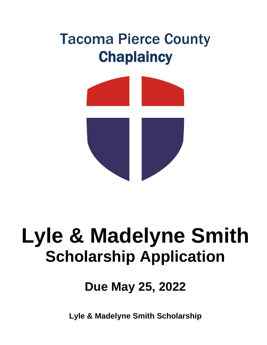## Tacoma Pierce County **Chaplaincy**



# **Lyle & Madelyne Smith Scholarship Application**

### **Due May 25, 2022**

**Lyle & Madelyne Smith Scholarship**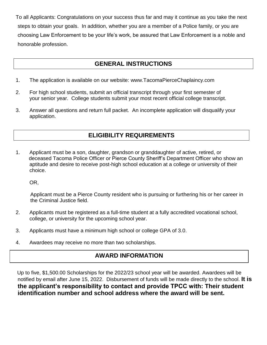To all Applicants: Congratulations on your success thus far and may it continue as you take the next steps to obtain your goals. In addition, whether you are a member of a Police family, or you are choosing Law Enforcement to be your life's work, be assured that Law Enforcement is a noble and honorable profession.

#### **GENERAL INSTRUCTIONS**

- 1. The application is available on our website: www.TacomaPierceChaplaincy.com
- 2. For high school students, submit an official transcript through your first semester of your senior year. College students submit your most recent official college transcript.
- 3. Answer all questions and return full packet. An incomplete application will disqualify your application.

#### **ELIGIBILITY REQUIREMENTS**

1. Applicant must be a son, daughter, grandson or granddaughter of active, retired, or deceased Tacoma Police Officer or Pierce County Sheriff's Department Officer who show an aptitude and desire to receive post-high school education at a college or university of their choice.

OR,

 Applicant must be a Pierce County resident who is pursuing or furthering his or her career in the Criminal Justice field.

- 2. Applicants must be registered as a full-time student at a fully accredited vocational school, college, or university for the upcoming school year.
- 3. Applicants must have a minimum high school or college GPA of 3.0.
- 4. Awardees may receive no more than two scholarships.

#### **AWARD INFORMATION**

Up to five, \$1,500.00 Scholarships for the 2022/23 school year will be awarded. Awardees will be notified by email after June 15, 2022. Disbursement of funds will be made directly to the school. **It is the applicant's responsibility to contact and provide TPCC with: Their student identification number and school address where the award will be sent.**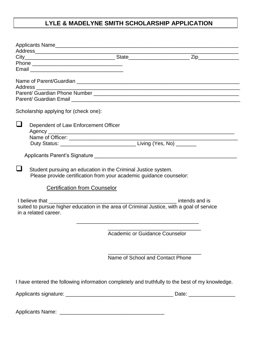#### **LYLE & MADELYNE SMITH SCHOLARSHIP APPLICATION**

|   | Scholarship applying for (check one):                                                                                                |                                  |                                                                                                 |
|---|--------------------------------------------------------------------------------------------------------------------------------------|----------------------------------|-------------------------------------------------------------------------------------------------|
| ⊔ | Dependent of Law Enforcement Officer                                                                                                 |                                  |                                                                                                 |
|   |                                                                                                                                      |                                  |                                                                                                 |
|   |                                                                                                                                      |                                  |                                                                                                 |
|   | Applicants Parent's Signature Manual Applicants Parent of Signature Manual Applicants Parent of Signature Control                    |                                  |                                                                                                 |
|   | Student pursuing an education in the Criminal Justice system.<br>Please provide certification from your academic guidance counselor: |                                  |                                                                                                 |
|   | <b>Certification from Counselor</b>                                                                                                  |                                  |                                                                                                 |
|   | suited to pursue higher education in the area of Criminal Justice, with a goal of service<br>in a related career.                    |                                  |                                                                                                 |
|   |                                                                                                                                      |                                  | <b>Academic or Guidance Counselor</b>                                                           |
|   |                                                                                                                                      | Name of School and Contact Phone |                                                                                                 |
|   |                                                                                                                                      |                                  | I have entered the following information completely and truthfully to the best of my knowledge. |
|   |                                                                                                                                      |                                  | Date:                                                                                           |

Applicants Name: \_\_\_\_\_\_\_\_\_\_\_\_\_\_\_\_\_\_\_\_\_\_\_\_\_\_\_\_\_\_\_\_\_\_\_\_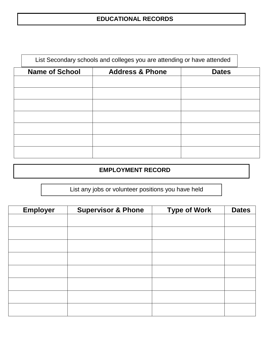#### **EDUCATIONAL RECORDS**

| List Secondary schools and colleges you are attending or have attended |                            |              |  |
|------------------------------------------------------------------------|----------------------------|--------------|--|
| <b>Name of School</b>                                                  | <b>Address &amp; Phone</b> | <b>Dates</b> |  |
|                                                                        |                            |              |  |
|                                                                        |                            |              |  |
|                                                                        |                            |              |  |
|                                                                        |                            |              |  |
|                                                                        |                            |              |  |
|                                                                        |                            |              |  |
|                                                                        |                            |              |  |
|                                                                        |                            |              |  |

#### **EMPLOYMENT RECORD**

List any jobs or volunteer positions you have held

| <b>Employer</b> | <b>Supervisor &amp; Phone</b> | <b>Type of Work</b> | <b>Dates</b> |
|-----------------|-------------------------------|---------------------|--------------|
|                 |                               |                     |              |
|                 |                               |                     |              |
|                 |                               |                     |              |
|                 |                               |                     |              |
|                 |                               |                     |              |
|                 |                               |                     |              |
|                 |                               |                     |              |
|                 |                               |                     |              |
|                 |                               |                     |              |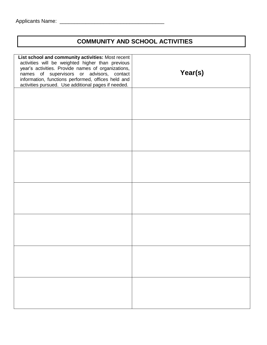#### **COMMUNITY AND SCHOOL ACTIVITIES**

| Year(s) | List school and community activities: Most recent<br>activities will be weighted higher than previous<br>year's activities. Provide names of organizations,<br>names of supervisors or advisors, contact<br>information, functions performed, offices held and<br>activities pursued. Use additional pages if needed. |
|---------|-----------------------------------------------------------------------------------------------------------------------------------------------------------------------------------------------------------------------------------------------------------------------------------------------------------------------|
|         |                                                                                                                                                                                                                                                                                                                       |
|         |                                                                                                                                                                                                                                                                                                                       |
|         |                                                                                                                                                                                                                                                                                                                       |
|         |                                                                                                                                                                                                                                                                                                                       |
|         |                                                                                                                                                                                                                                                                                                                       |
|         |                                                                                                                                                                                                                                                                                                                       |
|         |                                                                                                                                                                                                                                                                                                                       |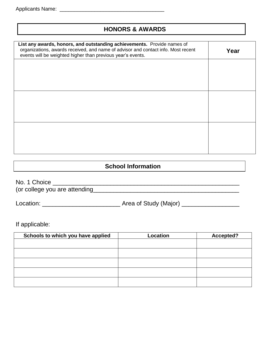#### **HONORS & AWARDS**

| List any awards, honors, and outstanding achievements. Provide names of<br>organizations, awards received, and name of advisor and contact info. Most recent<br>events will be weighted higher than previous year's events. | Year |
|-----------------------------------------------------------------------------------------------------------------------------------------------------------------------------------------------------------------------------|------|
|                                                                                                                                                                                                                             |      |
|                                                                                                                                                                                                                             |      |
|                                                                                                                                                                                                                             |      |
|                                                                                                                                                                                                                             |      |
|                                                                                                                                                                                                                             |      |
|                                                                                                                                                                                                                             |      |

#### **School Information**

| No. 1 Choice                  |  |
|-------------------------------|--|
| (or college you are attending |  |

Location: \_\_\_\_\_\_\_\_\_\_\_\_\_\_\_\_\_\_\_\_\_\_\_ Area of Study (Major) \_\_\_\_\_\_\_\_\_\_\_\_\_\_\_\_\_

If applicable:

| Schools to which you have applied | Location | Accepted? |
|-----------------------------------|----------|-----------|
|                                   |          |           |
|                                   |          |           |
|                                   |          |           |
|                                   |          |           |
|                                   |          |           |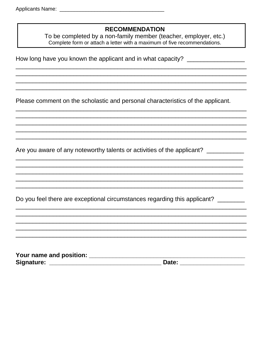#### **RECOMMENDATION**

To be completed by a non-family member (teacher, employer, etc.)<br>Complete form or attach a letter with a maximum of five recommendations.

How long have you known the applicant and in what capacity? \_\_\_\_\_\_\_\_\_\_\_\_\_\_\_\_\_\_\_\_

Please comment on the scholastic and personal characteristics of the applicant.

Are you aware of any noteworthy talents or activities of the applicant? \_\_\_\_\_\_\_\_\_

Do you feel there are exceptional circumstances regarding this applicant? \_\_\_\_\_\_\_

| Your name and position: |       |  |
|-------------------------|-------|--|
| Signature:              | Date: |  |